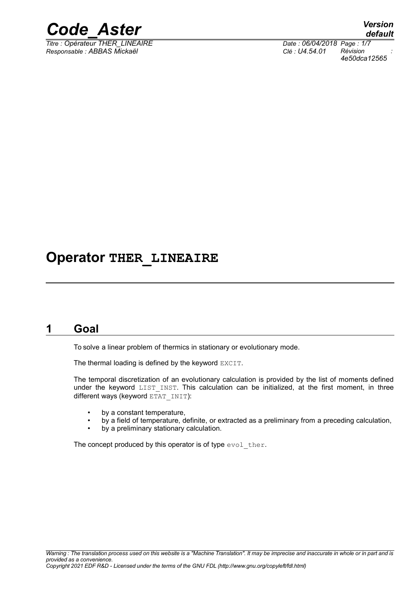

*Titre : Opérateur THER\_LINEAIRE Date : 06/04/2018 Page : 1/7 Responsable : ABBAS Mickaël Clé : U4.54.01 Révision :*

*default 4e50dca12565*

# **Operator THER\_LINEAIRE**

# **1 Goal**

To solve a linear problem of thermics in stationary or evolutionary mode.

The thermal loading is defined by the keyword EXCIT.

The temporal discretization of an evolutionary calculation is provided by the list of moments defined under the keyword LIST INST. This calculation can be initialized, at the first moment, in three different ways (keyword  $ETAT$  INIT):

- by a constant temperature,
- by a field of temperature, definite, or extracted as a preliminary from a preceding calculation,
- by a preliminary stationary calculation.

The concept produced by this operator is of type evol ther.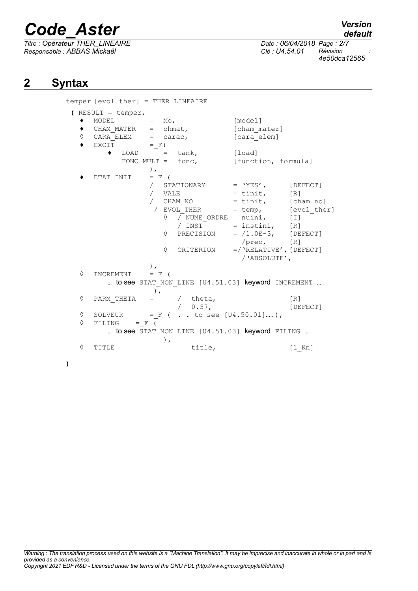*Titre : Opérateur THER\_LINEAIRE Date : 06/04/2018 Page : 2/7 Responsable : ABBAS Mickaël Clé : U4.54.01 Révision :*

*4e50dca12565*

# **2 Syntax**

**)**

|   | temper [evol ther] = THER LINEAIRE |                                                   |                           |                                     |
|---|------------------------------------|---------------------------------------------------|---------------------------|-------------------------------------|
|   | $\sum$ RESULT = temper,            |                                                   |                           |                                     |
|   | MODEL<br>$=$                       | $M \circ$ ,                                       | [model]                   |                                     |
|   | CHAM MATER                         | $=$ chmat,                                        | [cham mater]              |                                     |
| ♦ | CARA ELEM                          | $=$ carac,                                        | [cara elem]               |                                     |
|   | EXCIT                              | $=$ $F($                                          |                           |                                     |
|   | $\bullet$ LOAD = tank,             |                                                   | [load]                    |                                     |
|   |                                    | FONC MULT = $f$ onc,                              | [function, formula]       |                                     |
|   | $\,$ ,                             |                                                   |                           |                                     |
|   | ETAT INIT                          | $=$ F (                                           |                           |                                     |
|   |                                    | STATIONARY                                        | $=$ 'YES',                | [DEFECT]                            |
|   |                                    | VALE                                              | $=$ tinit,                | [R]                                 |
|   |                                    | CHAM NO                                           | $=$ tinit, [cham no]      |                                     |
|   |                                    | / EVOL THER                                       | $=$ temp,                 | [evol ther]                         |
|   |                                    | / NUME ORDRE = nuini,<br>$\Diamond$               |                           | $\lceil$ $\lceil$ $\lceil$ $\lceil$ |
|   |                                    | / INST                                            | $=$ instini,              | [R]                                 |
|   |                                    | ♦<br>PRECISION                                    | $= /1.0E-3$ , [DEFECT]    |                                     |
|   |                                    |                                                   | /prec,                    | [R]                                 |
|   |                                    | ♦<br>CRITERION                                    | $=$ /'RELATIVE', [DEFECT] |                                     |
|   |                                    |                                                   | / 'ABSOLUTE',             |                                     |
|   | $\,$ ,                             |                                                   |                           |                                     |
| ♦ | INCREMENT                          | $=$ F (                                           |                           |                                     |
|   |                                    | to see STAT NON LINE [U4.51.03] keyword INCREMENT |                           |                                     |
|   |                                    |                                                   |                           |                                     |
| ♦ | PARM THETA<br>$=$                  | / theta,                                          |                           | [R]                                 |
|   |                                    | $/ 0.57$ ,                                        |                           | [DEFECT]                            |
| ♦ | SOLVEUR                            | $= F$ ( to see [U4.50.01]),                       |                           |                                     |
| ♦ | FILING<br>$=$ $\mathbf{F}$ (       |                                                   |                           |                                     |
|   |                                    | to see STAT NON LINE [U4.51.03] keyword FILING    |                           |                                     |
|   |                                    | $\,$ ,                                            |                           |                                     |
| ♦ | TITLE<br>$=$                       | title,                                            |                           | $[1$ Kn]                            |
|   |                                    |                                                   |                           |                                     |
|   |                                    |                                                   |                           |                                     |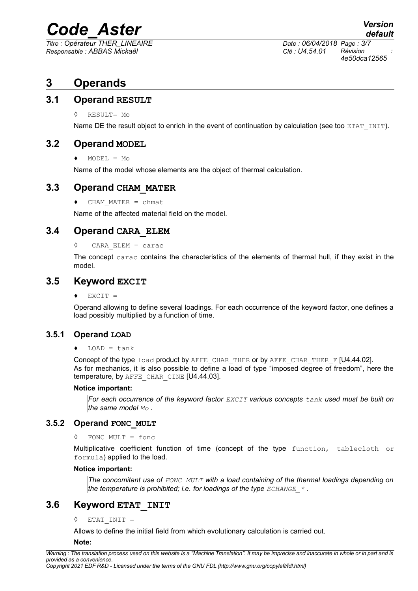*Titre : Opérateur THER\_LINEAIRE Date : 06/04/2018 Page : 3/7 Responsable : ABBAS Mickaël Clé : U4.54.01 Révision :*

*4e50dca12565*

# **3 Operands**

### **3.1 Operand RESULT**

◊ RESULT= Mo

Name DE the result object to enrich in the event of continuation by calculation (see too ETAT INIT).

# **3.2 Operand MODEL**

 $\triangleleft$  MODEL = Mo

Name of the model whose elements are the object of thermal calculation.

## **3.3 Operand CHAM\_MATER**

♦ CHAM\_MATER = chmat

Name of the affected material field on the model.

## **3.4 Operand CARA\_ELEM**

#### ◊ CARA\_ELEM = carac

The concept carac contains the characteristics of the elements of thermal hull, if they exist in the model.

#### **3.5 Keyword EXCIT**

 $\triangleleft$  EXCIT =

Operand allowing to define several loadings. For each occurrence of the keyword factor, one defines a load possibly multiplied by a function of time.

#### **3.5.1 Operand LOAD**

#### $\triangleleft$  LOAD = tank

Concept of the type load product by AFFE\_CHAR\_THER or by AFFE\_CHAR\_THER\_F [U4.44.02]. As for mechanics, it is also possible to define a load of type "imposed degree of freedom", here the temperature, by AFFE CHAR CINE [U4.44.03].

#### **Notice important:**

*For each occurrence of the keyword factor EXCIT various concepts tank used must be built on the same model Mo .*

#### **3.5.2 Operand FONC\_MULT**

#### FONC MULT =  $f$ onc

Multiplicative coefficient function of time (concept of the type function, tablecloth or formula) applied to the load.

#### **Notice important:**

*The concomitant use of FONC\_MULT with a load containing of the thermal loadings depending on the temperature is prohibited; i.e. for loadings of the type ECHANGE\_\* .*

# **3.6 Keyword ETAT\_INIT**

◊ ETAT\_INIT =

Allows to define the initial field from which evolutionary calculation is carried out.

**Note:**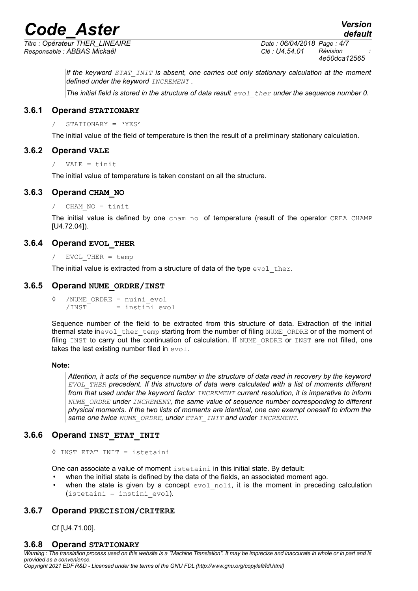*Titre : Opérateur THER\_LINEAIRE Date : 06/04/2018 Page : 4/7 Responsable : ABBAS Mickaël Clé : U4.54.01 Révision :*

*default*

*If the keyword ETAT\_INIT is absent, one carries out only stationary calculation at the moment defined under the keyword INCREMENT .*

*The initial field is stored in the structure of data result*  $evol$  *ther under the sequence number 0.* 

#### **3.6.1 Operand STATIONARY**

/ STATIONARY = 'YES'

The initial value of the field of temperature is then the result of a preliminary stationary calculation.

#### **3.6.2 Operand VALE**

```
/ VALE = tinit
```
The initial value of temperature is taken constant on all the structure.

#### **3.6.3 Operand CHAM\_NO**

/ CHAM\_NO = tinit

The initial value is defined by one cham no of temperature (result of the operator CREA CHAMP [U4.72.04]).

#### **3.6.4 Operand EVOL\_THER**

/ EVOL\_THER = temp

The initial value is extracted from a structure of data of the type  $evol$  ther.

#### **3.6.5 Operand NUME\_ORDRE/INST**

◊ /NUME\_ORDRE = nuini\_evol  $/INT = instini$  evol

Sequence number of the field to be extracted from this structure of data. Extraction of the initial thermal state inevol ther temp starting from the number of filing NUME ORDRE or of the moment of filing INST to carry out the continuation of calculation. If NUME ORDRE or INST are not filled, one takes the last existing number filed in  $evol$ .

#### **Note:**

*Attention, it acts of the sequence number in the structure of data read in recovery by the keyword EVOL\_THER precedent. If this structure of data were calculated with a list of moments different from that used under the keyword factor INCREMENT current resolution, it is imperative to inform NUME\_ORDRE under INCREMENT, the same value of sequence number corresponding to different physical moments. If the two lists of moments are identical, one can exempt oneself to inform the same one twice NUME\_ORDRE, under ETAT\_INIT and under INCREMENT.*

#### **3.6.6 Operand INST\_ETAT\_INIT**

```
◊ INST_ETAT_INIT = istetaini
```
One can associate a value of moment istetaini in this initial state. By default:

- when the initial state is defined by the data of the fields, an associated moment ago.
- when the state is given by a concept  $evol$  noli, it is the moment in preceding calculation  $($ istetaini = instini evol).

#### **3.6.7 Operand PRECISION/CRITERE**

Cf [U4.71.00].

#### **3.6.8 Operand STATIONARY**

*Warning : The translation process used on this website is a "Machine Translation". It may be imprecise and inaccurate in whole or in part and is provided as a convenience. Copyright 2021 EDF R&D - Licensed under the terms of the GNU FDL (http://www.gnu.org/copyleft/fdl.html)*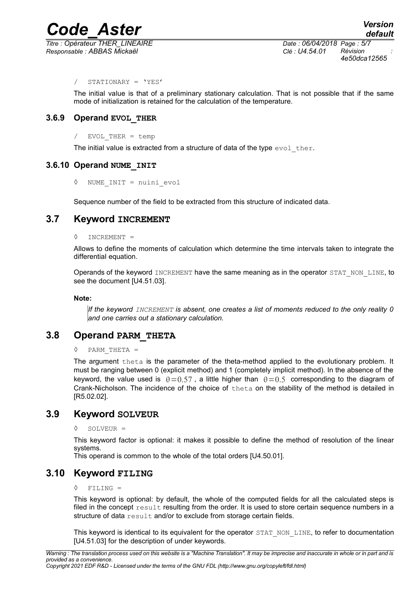*Responsable : ABBAS Mickaël Clé : U4.54.01 Révision :*

*Titre : Opérateur THER\_LINEAIRE Date : 06/04/2018 Page : 5/7 4e50dca12565*

#### / STATIONARY = 'YES'

The initial value is that of a preliminary stationary calculation. That is not possible that if the same mode of initialization is retained for the calculation of the temperature.

#### **3.6.9 Operand EVOL\_THER**

#### $EVOL$  THER = temp

The initial value is extracted from a structure of data of the type  $evol$  ther.

#### **3.6.10 Operand NUME\_INIT**

◊ NUME\_INIT = nuini\_evol

Sequence number of the field to be extracted from this structure of indicated data.

## **3.7 Keyword INCREMENT**

#### $INCREMENT =$

Allows to define the moments of calculation which determine the time intervals taken to integrate the differential equation.

Operands of the keyword INCREMENT have the same meaning as in the operator STAT\_NON\_LINE, to see the document [U4.51.03].

#### **Note:**

*If the keyword INCREMENT is absent, one creates a list of moments reduced to the only reality 0 and one carries out a stationary calculation.*

### **3.8 Operand PARM\_THETA**

#### ◊ PARM\_THETA =

The argument theta is the parameter of the theta-method applied to the evolutionary problem. It must be ranging between 0 (explicit method) and 1 (completely implicit method). In the absence of the keyword, the value used is  $\theta=0.57$ , a little higher than  $\theta=0.5$  corresponding to the diagram of Crank-Nicholson. The incidence of the choice of theta on the stability of the method is detailed in [R5.02.02].

### **3.9 Keyword SOLVEUR**

#### ◊ SOLVEUR =

This keyword factor is optional: it makes it possible to define the method of resolution of the linear systems.

This operand is common to the whole of the total orders [U4.50.01].

# **3.10 Keyword FILING**

#### ◊ FILING =

This keyword is optional: by default, the whole of the computed fields for all the calculated steps is filed in the concept result resulting from the order. It is used to store certain sequence numbers in a structure of data result and/or to exclude from storage certain fields.

This keyword is identical to its equivalent for the operator STAT\_NON\_LINE, to refer to documentation [U4.51.03] for the description of under keywords.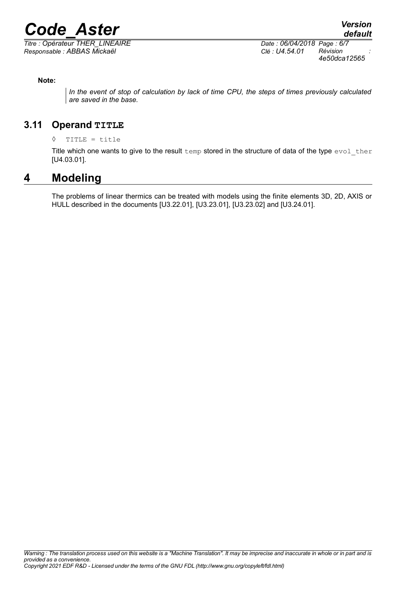$\overline{T}$ itre : Opérateur THER\_LINEAIRE *Responsable : ABBAS Mickaël Clé : U4.54.01 Révision :*

*4e50dca12565*

#### **Note:**

*In the event of stop of calculation by lack of time CPU, the steps of times previously calculated are saved in the base.*

# **3.11 Operand TITLE**

#### ◊ TITLE = title

Title which one wants to give to the result temp stored in the structure of data of the type  $evol$  ther [U4.03.01].

# **4 Modeling**

The problems of linear thermics can be treated with models using the finite elements 3D, 2D, AXIS or HULL described in the documents [U3.22.01], [U3.23.01], [U3.23.02] and [U3.24.01].